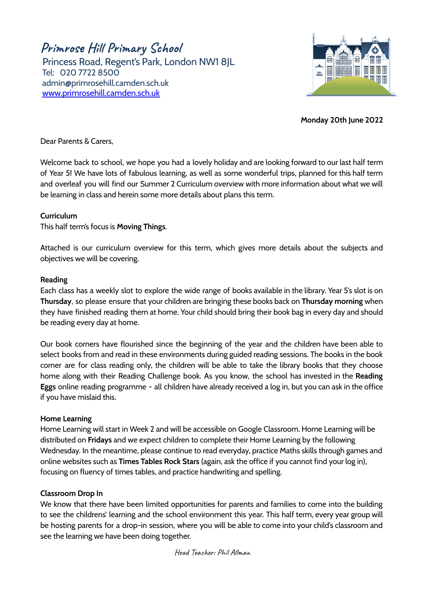**Primrose Hill Primary School** Princess Road, Regent's Park, London NW1 8JL Tel: 020 7722 8500 [admin@primrosehill.camden.sch.uk](mailto:admin@primrosehill.camden.sch.uk) [www.primrosehill.camden.sch.uk](http://www.primrosehill.camden.sch.uk)



**Monday 20th June 2022**

Dear Parents & Carers,

Welcome back to school, we hope you had a lovely holiday and are looking forward to our last half term of Year 5! We have lots of fabulous learning, as well as some wonderful trips, planned for this half term and overleaf you will find our Summer 2 Curriculum overview with more information about what we will be learning in class and herein some more details about plans this term.

### **Curriculum**

This half term's focus is **Moving Things**.

Attached is our curriculum overview for this term, which gives more details about the subjects and objectives we will be covering.

#### **Reading**

Each class has a weekly slot to explore the wide range of books available in the library. Year 5's slot is on **Thursday**, so please ensure that your children are bringing these books back on **Thursday morning** when they have finished reading them at home. Your child should bring their book bag in every day and should be reading every day at home.

Our book corners have flourished since the beginning of the year and the children have been able to select books from and read in these environments during guided reading sessions. The books in the book corner are for class reading only, the children will be able to take the library books that they choose home along with their Reading Challenge book. As you know, the school has invested in the **Reading Eggs** online reading programme - all children have already received a log in, but you can ask in the office if you have mislaid this.

#### **Home Learning**

Home Learning will start in Week 2 and will be accessible on Google Classroom. Home Learning will be distributed on **Fridays** and we expect children to complete their Home Learning by the following Wednesday. In the meantime, please continue to read everyday, practice Maths skills through games and online websites such as **Times Tables Rock Stars** (again, ask the office if you cannot find your log in), focusing on fluency of times tables, and practice handwriting and spelling.

# **Classroom Drop In**

We know that there have been limited opportunities for parents and families to come into the building to see the childrens' learning and the school environment this year. This half term, every year group will be hosting parents for a drop-in session, where you will be able to come into your child's classroom and see the learning we have been doing together.

Head Teacher: Phil Allman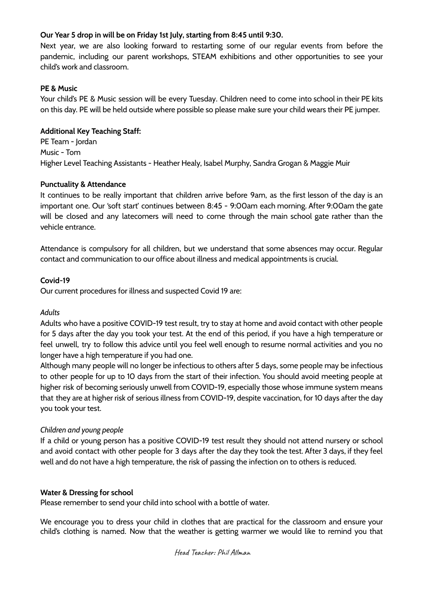## **Our Year 5 drop in will be on Friday 1st July, starting from 8:45 until 9:30.**

Next year, we are also looking forward to restarting some of our regular events from before the pandemic, including our parent workshops, STEAM exhibitions and other opportunities to see your child's work and classroom.

### **PE & Music**

Your child's PE & Music session will be every Tuesday. Children need to come into school in their PE kits on this day. PE will be held outside where possible so please make sure your child wears their PE jumper.

## **Additional Key Teaching Staff:**

PE Team - Jordan Music - Tom Higher Level Teaching Assistants - Heather Healy, Isabel Murphy, Sandra Grogan & Maggie Muir

### **Punctuality & Attendance**

It continues to be really important that children arrive before 9am, as the first lesson of the day is an important one. Our 'soft start' continues between 8:45 - 9:00am each morning. After 9:00am the gate will be closed and any latecomers will need to come through the main school gate rather than the vehicle entrance.

Attendance is compulsory for all children, but we understand that some absences may occur. Regular contact and communication to our office about illness and medical appointments is crucial.

### **Covid-19**

Our current procedures for illness and suspected Covid 19 are:

#### *Adults*

Adults who have a positive COVID-19 test result, try to stay at home and avoid contact with other people for 5 days after the day you took your test. At the end of this period, if you have a high temperature or feel unwell, try to follow this advice until you feel well enough to resume normal activities and you no longer have a high temperature if you had one.

Although many people will no longer be infectious to others after 5 days, some people may be infectious to other people for up to 10 days from the start of their infection. You should avoid meeting people at higher risk of becoming seriously unwell from COVID-19, especially those whose immune system means that they are at higher risk of serious illness from COVID-19, despite vaccination, for 10 days after the day you took your test.

# *Children and young people*

If a child or young person has a positive COVID-19 test result they should not attend nursery or school and avoid contact with other people for 3 days after the day they took the test. After 3 days, if they feel well and do not have a high temperature, the risk of passing the infection on to others is reduced.

#### **Water & Dressing for school**

Please remember to send your child into school with a bottle of water.

We encourage you to dress your child in clothes that are practical for the classroom and ensure your child's clothing is named. Now that the weather is getting warmer we would like to remind you that